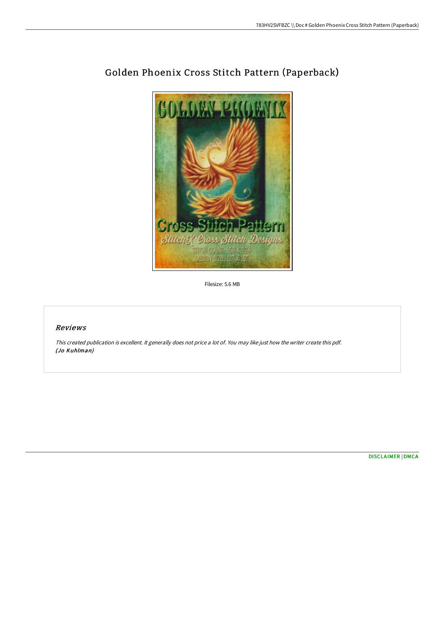

## Golden Phoenix Cross Stitch Pattern (Paperback)

Filesize: 5.6 MB

## Reviews

This created publication is excellent. It generally does not price <sup>a</sup> lot of. You may like just how the writer create this pdf. (Jo Kuhlman)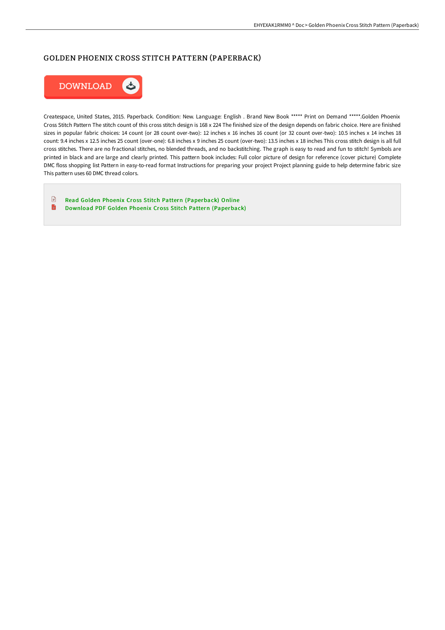## GOLDEN PHOENIX CROSS STITCH PATTERN (PAPERBACK)



Createspace, United States, 2015. Paperback. Condition: New. Language: English . Brand New Book \*\*\*\*\* Print on Demand \*\*\*\*\*.Golden Phoenix Cross Stitch Pattern The stitch count of this cross stitch design is 168 x 224 The finished size of the design depends on fabric choice. Here are finished sizes in popular fabric choices: 14 count (or 28 count over-two): 12 inches x 16 inches 16 count (or 32 count over-two): 10.5 inches x 14 inches 18 count: 9.4 inches x 12.5 inches 25 count (over-one): 6.8 inches x 9 inches 25 count (over-two): 13.5 inches x 18 inches This cross stitch design is all full cross stitches. There are no fractional stitches, no blended threads, and no backstitching. The graph is easy to read and fun to stitch! Symbols are printed in black and are large and clearly printed. This pattern book includes: Full color picture of design for reference (cover picture) Complete DMC floss shopping list Pattern in easy-to-read format Instructions for preparing your project Project planning guide to help determine fabric size This pattern uses 60 DMC thread colors.

 $\begin{array}{c} \square \end{array}$ Read Golden Phoenix Cross Stitch Pattern [\(Paperback\)](http://digilib.live/golden-phoenix-cross-stitch-pattern-paperback.html) Online  $\blacksquare$ Download PDF Golden Phoenix Cross Stitch Pattern [\(Paperback\)](http://digilib.live/golden-phoenix-cross-stitch-pattern-paperback.html)